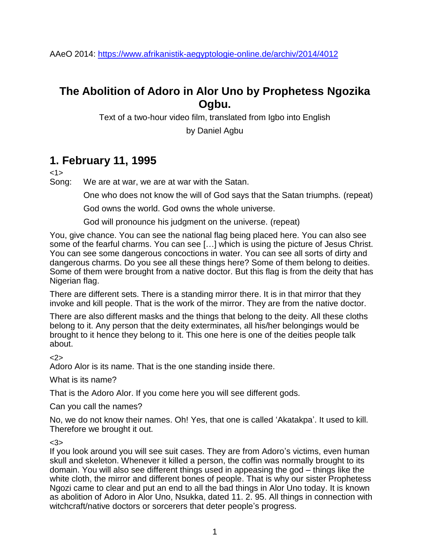# **The Abolition of Adoro in Alor Uno by Prophetess Ngozika Ogbu.**

Text of a two-hour video film, translated from Igbo into English

by Daniel Agbu

# **1. February 11, 1995**

<1>

Song: We are at war, we are at war with the Satan.

One who does not know the will of God says that the Satan triumphs. (repeat)

God owns the world. God owns the whole universe.

God will pronounce his judgment on the universe. (repeat)

You, give chance. You can see the national flag being placed here. You can also see some of the fearful charms. You can see […] which is using the picture of Jesus Christ. You can see some dangerous concoctions in water. You can see all sorts of dirty and dangerous charms. Do you see all these things here? Some of them belong to deities. Some of them were brought from a native doctor. But this flag is from the deity that has Nigerian flag.

There are different sets. There is a standing mirror there. It is in that mirror that they invoke and kill people. That is the work of the mirror. They are from the native doctor.

There are also different masks and the things that belong to the deity. All these cloths belong to it. Any person that the deity exterminates, all his/her belongings would be brought to it hence they belong to it. This one here is one of the deities people talk about.

 $2$ 

Adoro Alor is its name. That is the one standing inside there.

What is its name?

That is the Adoro Alor. If you come here you will see different gods.

Can you call the names?

No, we do not know their names. Oh! Yes, that one is called 'Akatakpa'. It used to kill. Therefore we brought it out.

<3>

If you look around you will see suit cases. They are from Adoro's victims, even human skull and skeleton. Whenever it killed a person, the coffin was normally brought to its domain. You will also see different things used in appeasing the god – things like the white cloth, the mirror and different bones of people. That is why our sister Prophetess Ngozi came to clear and put an end to all the bad things in Alor Uno today. It is known as abolition of Adoro in Alor Uno, Nsukka, dated 11. 2. 95. All things in connection with witchcraft/native doctors or sorcerers that deter people's progress.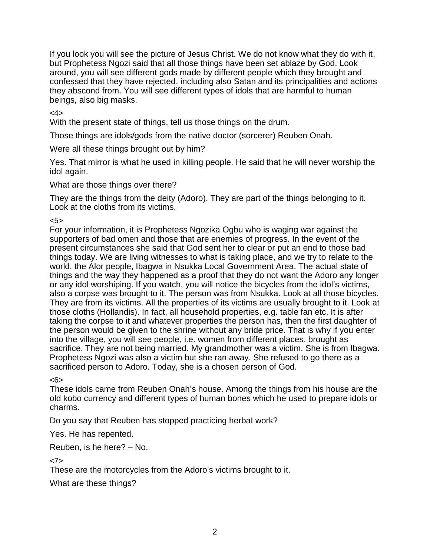If you look you will see the picture of Jesus Christ. We do not know what they do with it, but Prophetess Ngozi said that all those things have been set ablaze by God. Look around, you will see different gods made by different people which they brought and confessed that they have rejected, including also Satan and its principalities and actions they abscond from. You will see different types of idols that are harmful to human beings, also big masks.

#### <4>

With the present state of things, tell us those things on the drum.

Those things are idols/gods from the native doctor (sorcerer) Reuben Onah.

Were all these things brought out by him?

Yes. That mirror is what he used in killing people. He said that he will never worship the idol again.

What are those things over there?

They are the things from the deity (Adoro). They are part of the things belonging to it. Look at the cloths from its victims.

## <5>

For your information, it is Prophetess Ngozika Ogbu who is waging war against the supporters of bad omen and those that are enemies of progress. In the event of the present circumstances she said that God sent her to clear or put an end to those bad things today. We are living witnesses to what is taking place, and we try to relate to the world, the Alor people, Ibagwa in Nsukka Local Government Area. The actual state of things and the way they happened as a proof that they do not want the Adoro any longer or any idol worshiping. If you watch, you will notice the bicycles from the idol's victims, also a corpse was brought to it. The person was from Nsukka. Look at all those bicycles. They are from its victims. All the properties of its victims are usually brought to it. Look at those cloths (Hollandis). In fact, all household properties, e.g. table fan etc. It is after taking the corpse to it and whatever properties the person has, then the first daughter of the person would be given to the shrine without any bride price. That is why if you enter into the village, you will see people, i.e. women from different places, brought as sacrifice. They are not being married. My grandmother was a victim. She is from Ibagwa. Prophetess Ngozi was also a victim but she ran away. She refused to go there as a sacrificed person to Adoro. Today, she is a chosen person of God.

# <6>

These idols came from Reuben Onah's house. Among the things from his house are the old kobo currency and different types of human bones which he used to prepare idols or charms.

Do you say that Reuben has stopped practicing herbaI work?

Yes. He has repented.

Reuben, is he here? – No.

# <7>

These are the motorcycles from the Adoro's victims brought to it.

What are these things?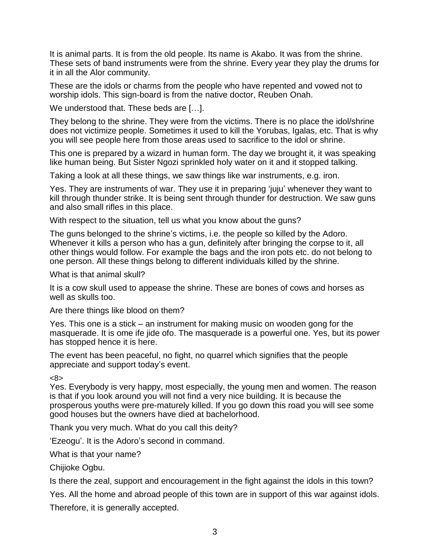It is animal parts. It is from the old people. Its name is Akabo. It was from the shrine. These sets of band instruments were from the shrine. Every year they play the drums for it in all the Alor community.

These are the idols or charms from the people who have repented and vowed not to worship idols. This sign-board is from the native doctor, Reuben Onah.

We understood that. These beds are [...].

They belong to the shrine. They were from the victims. There is no place the idol/shrine does not victimize people. Sometimes it used to kill the Yorubas, Igalas, etc. That is why you will see people here from those areas used to sacrifice to the idol or shrine.

This one is prepared by a wizard in human form. The day we brought it, it was speaking like human being. But Sister Ngozi sprinkled holy water on it and it stopped talking.

Taking a look at all these things, we saw things like war instruments, e.g. iron.

Yes. They are instruments of war. They use it in preparing 'juju' whenever they want to kill through thunder strike. It is being sent through thunder for destruction. We saw guns and also small rifles in this place.

With respect to the situation, tell us what you know about the guns?

The guns belonged to the shrine's victims, i.e. the people so killed by the Adoro. Whenever it kills a person who has a gun, definitely after bringing the corpse to it, all other things would follow. For example the bags and the iron pots etc. do not belong to one person. All these things belong to different individuals killed by the shrine.

What is that animal skull?

It is a cow skull used to appease the shrine. These are bones of cows and horses as well as skulls too.

Are there things like blood on them?

Yes. This one is a stick – an instrument for making music on wooden gong for the masquerade. It is ome ife jide ofo. The masquerade is a powerful one. Yes, but its power has stopped hence it is here.

The event has been peaceful, no fight, no quarrel which signifies that the people appreciate and support today's event.

<8>

Yes. Everybody is very happy, most especially, the young men and women. The reason is that if you look around you will not find a very nice building. It is because the prosperous youths were pre-maturely killed. If you go down this road you will see some good houses but the owners have died at bachelorhood.

Thank you very much. What do you call this deity?

'Ezeogu'. It is the Adoro's second in command.

What is that your name?

Chijioke Ogbu.

Is there the zeal, support and encouragement in the fight against the idols in this town?

Yes. All the home and abroad people of this town are in support of this war against idols.

Therefore, it is generally accepted.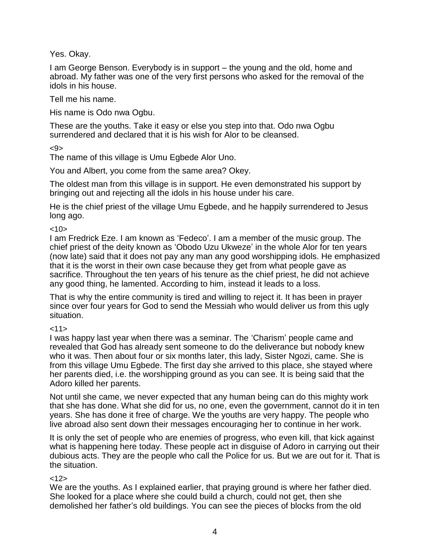Yes. Okay.

I am George Benson. Everybody is in support – the young and the old, home and abroad. My father was one of the very first persons who asked for the removal of the idols in his house.

Tell me his name.

His name is Odo nwa Ogbu.

These are the youths. Take it easy or else you step into that. Odo nwa Ogbu surrendered and declared that it is his wish for Alor to be cleansed.

<9>

The name of this village is Umu Egbede Alor Uno.

You and Albert, you come from the same area? Okey.

The oldest man from this village is in support. He even demonstrated his support by bringing out and rejecting all the idols in his house under his care.

He is the chief priest of the village Umu Egbede, and he happily surrendered to Jesus long ago.

 $<10>$ 

I am Fredrick Eze. I am known as 'Fedeco'. I am a member of the music group. The chief priest of the deity known as 'Obodo Uzu Ukweze' in the whole Alor for ten years (now late) said that it does not pay any man any good worshipping idols. He emphasized that it is the worst in their own case because they get from what people gave as sacrifice. Throughout the ten years of his tenure as the chief priest, he did not achieve any good thing, he lamented. According to him, instead it leads to a loss.

That is why the entire community is tired and willing to reject it. It has been in prayer since over four years for God to send the Messiah who would deliver us from this ugly situation.

<11>

I was happy last year when there was a seminar. The 'Charism' people came and revealed that God has already sent someone to do the deliverance but nobody knew who it was. Then about four or six months later, this lady, Sister Ngozi, came. She is from this village Umu Egbede. The first day she arrived to this place, she stayed where her parents died, i.e. the worshipping ground as you can see. It is being said that the Adoro killed her parents.

Not until she came, we never expected that any human being can do this mighty work that she has done. What she did for us, no one, even the government, cannot do it in ten years. She has done it free of charge. We the youths are very happy. The people who live abroad also sent down their messages encouraging her to continue in her work.

It is only the set of people who are enemies of progress, who even kill, that kick against what is happening here today. These people act in disguise of Adoro in carrying out their dubious acts. They are the people who call the Police for us. But we are out for it. That is the situation.

#### $<12>$

We are the youths. As I explained earlier, that praying ground is where her father died. She looked for a place where she could build a church, could not get, then she demolished her father's old buildings. You can see the pieces of blocks from the old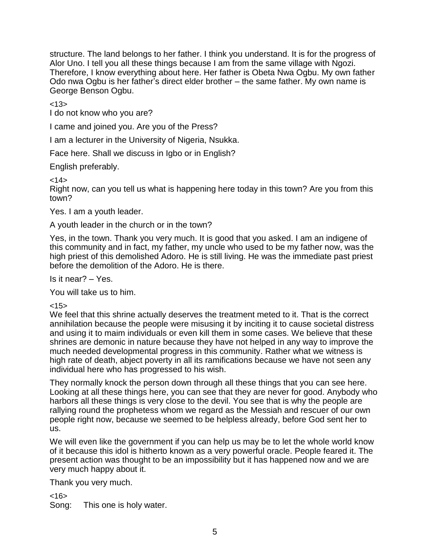structure. The land belongs to her father. I think you understand. It is for the progress of Alor Uno. I tell you all these things because I am from the same village with Ngozi. Therefore, I know everything about here. Her father is Obeta Nwa Ogbu. My own father Odo nwa Ogbu is her father's direct elder brother – the same father. My own name is George Benson Ogbu.

 $< 13>$ 

I do not know who you are?

I came and joined you. Are you of the Press?

I am a lecturer in the University of Nigeria, Nsukka.

Face here. Shall we discuss in Igbo or in English?

English preferably.

<14>

Right now, can you tell us what is happening here today in this town? Are you from this town?

Yes. I am a youth leader.

A youth leader in the church or in the town?

Yes, in the town. Thank you very much. It is good that you asked. I am an indigene of this community and in fact, my father, my uncle who used to be my father now, was the high priest of this demolished Adoro. He is still living. He was the immediate past priest before the demolition of the Adoro. He is there.

Is it near? – Yes.

You will take us to him.

 $<15>$ 

We feel that this shrine actually deserves the treatment meted to it. That is the correct annihilation because the people were misusing it by inciting it to cause societal distress and using it to maim individuals or even kill them in some cases. We believe that these shrines are demonic in nature because they have not helped in any way to improve the much needed developmental progress in this community. Rather what we witness is high rate of death, abject poverty in all its ramifications because we have not seen any individual here who has progressed to his wish.

They normally knock the person down through all these things that you can see here. Looking at all these things here, you can see that they are never for good. Anybody who harbors all these things is very close to the devil. You see that is why the people are rallying round the prophetess whom we regard as the Messiah and rescuer of our own people right now, because we seemed to be helpless already, before God sent her to us.

We will even like the government if you can help us may be to let the whole world know of it because this idol is hitherto known as a very powerful oracle. People feared it. The present action was thought to be an impossibility but it has happened now and we are very much happy about it.

Thank you very much.

 $<16>$ Song: This one is holy water.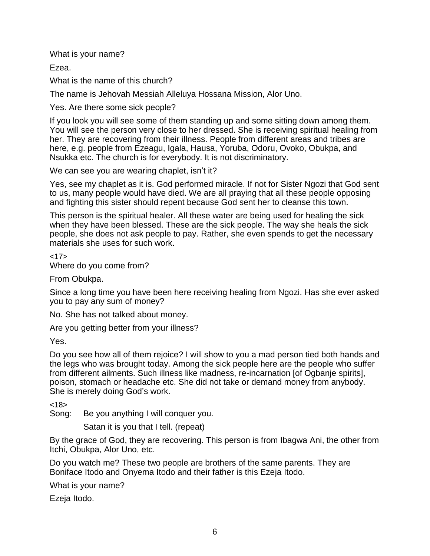What is your name?

Ezea.

What is the name of this church?

The name is Jehovah Messiah Alleluya Hossana Mission, Alor Uno.

Yes. Are there some sick people?

If you look you will see some of them standing up and some sitting down among them. You will see the person very close to her dressed. She is receiving spiritual healing from her. They are recovering from their illness. People from different areas and tribes are here, e.g. people from Ezeagu, Igala, Hausa, Yoruba, Odoru, Ovoko, Obukpa, and Nsukka etc. The church is for everybody. It is not discriminatory.

We can see you are wearing chaplet, isn't it?

Yes, see my chaplet as it is. God performed miracle. If not for Sister Ngozi that God sent to us, many people would have died. We are all praying that all these people opposing and fighting this sister should repent because God sent her to cleanse this town.

This person is the spiritual healer. All these water are being used for healing the sick when they have been blessed. These are the sick people. The way she heals the sick people, she does not ask people to pay. Rather, she even spends to get the necessary materials she uses for such work.

 $17<sub>></sub>$ Where do you come from?

From Obukpa.

Since a long time you have been here receiving healing from Ngozi. Has she ever asked you to pay any sum of money?

No. She has not talked about money.

Are you getting better from your illness?

Yes.

Do you see how all of them rejoice? I will show to you a mad person tied both hands and the legs who was brought today. Among the sick people here are the people who suffer from different ailments. Such illness like madness, re-incarnation [of Ogbanje spirits], poison, stomach or headache etc. She did not take or demand money from anybody. She is merely doing God's work.

<18>

Song: Be you anything I will conquer you.

Satan it is you that I tell. (repeat)

By the grace of God, they are recovering. This person is from Ibagwa Ani, the other from Itchi, Obukpa, Alor Uno, etc.

Do you watch me? These two people are brothers of the same parents. They are Boniface Itodo and Onyema Itodo and their father is this Ezeja Itodo.

What is your name?

Ezeja Itodo.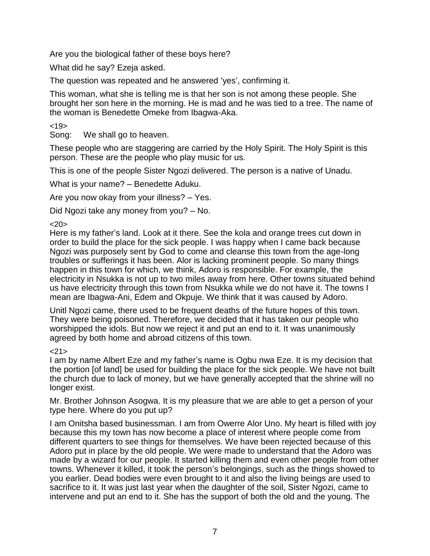Are you the biological father of these boys here?

What did he say? Ezeja asked.

The question was repeated and he answered 'yes', confirming it.

This woman, what she is telling me is that her son is not among these people. She brought her son here in the morning. He is mad and he was tied to a tree. The name of the woman is Benedette Omeke from Ibagwa-Aka.

 $< 19$ 

Song: We shall go to heaven.

These people who are staggering are carried by the Holy Spirit. The Holy Spirit is this person. These are the people who play music for us.

This is one of the people Sister Ngozi delivered. The person is a native of Unadu.

What is your name? – Benedette Aduku.

Are you now okay from your illness? – Yes.

Did Ngozi take any money from you? – No.

 $20$ 

Here is my father's land. Look at it there. See the kola and orange trees cut down in order to build the place for the sick people. I was happy when I came back because Ngozi was purposely sent by God to come and cleanse this town from the age-long troubles or sufferings it has been. Alor is lacking prominent people. So many things happen in this town for which, we think, Adoro is responsible. For example, the electricity in Nsukka is not up to two miles away from here. Other towns situated behind us have electricity through this town from Nsukka while we do not have it. The towns I mean are Ibagwa-Ani, Edem and Okpuje. We think that it was caused by Adoro.

Unitl Ngozi came, there used to be frequent deaths of the future hopes of this town. They were being poisoned. Therefore, we decided that it has taken our people who worshipped the idols. But now we reject it and put an end to it. It was unanimously agreed by both home and abroad citizens of this town.

<21>

I am by name Albert Eze and my father's name is Ogbu nwa Eze. It is my decision that the portion [of land] be used for building the place for the sick people. We have not built the church due to lack of money, but we have generally accepted that the shrine will no longer exist.

Mr. Brother Johnson Asogwa. It is my pleasure that we are able to get a person of your type here. Where do you put up?

I am Onitsha based businessman. I am from Owerre Alor Uno. My heart is filled with joy because this my town has now become a place of interest where people come from different quarters to see things for themselves. We have been rejected because of this Adoro put in place by the old people. We were made to understand that the Adoro was made by a wizard for our people. It started killing them and even other people from other towns. Whenever it killed, it took the person's belongings, such as the things showed to you earlier. Dead bodies were even brought to it and also the living beings are used to sacrifice to it. It was just last year when the daughter of the soil, Sister Ngozi, came to intervene and put an end to it. She has the support of both the old and the young. The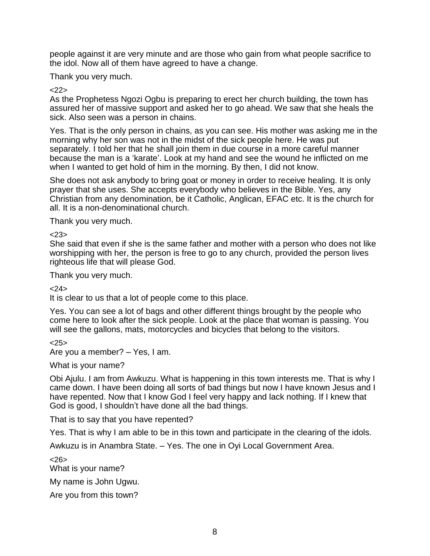people against it are very minute and are those who gain from what people sacrifice to the idol. Now all of them have agreed to have a change.

Thank you very much.

## $222$

As the Prophetess Ngozi Ogbu is preparing to erect her church building, the town has assured her of massive support and asked her to go ahead. We saw that she heals the sick. Also seen was a person in chains.

Yes. That is the only person in chains, as you can see. His mother was asking me in the morning why her son was not in the midst of the sick people here. He was put separately. I told her that he shall join them in due course in a more careful manner because the man is a 'karate'. Look at my hand and see the wound he inflicted on me when I wanted to get hold of him in the morning. By then, I did not know.

She does not ask anybody to bring goat or money in order to receive healing. It is only prayer that she uses. She accepts everybody who believes in the Bible. Yes, any Christian from any denomination, be it Catholic, Anglican, EFAC etc. It is the church for all. It is a non-denominational church.

Thank you very much.

 $23$ 

She said that even if she is the same father and mother with a person who does not like worshipping with her, the person is free to go to any church, provided the person lives righteous life that will please God.

Thank you very much.

 $24$ 

It is clear to us that a lot of people come to this place.

Yes. You can see a lot of bags and other different things brought by the people who come here to look after the sick people. Look at the place that woman is passing. You will see the gallons, mats, motorcycles and bicycles that belong to the visitors.

 $25$ 

Are you a member? – Yes, I am.

What is your name?

Obi Ajulu. I am from Awkuzu. What is happening in this town interests me. That is why I came down. I have been doing all sorts of bad things but now I have known Jesus and I have repented. Now that I know God I feel very happy and lack nothing. If I knew that God is good, I shouldn't have done all the bad things.

That is to say that you have repented?

Yes. That is why I am able to be in this town and participate in the clearing of the idols.

Awkuzu is in Anambra State. – Yes. The one in Oyi Local Government Area.

<26>

What is your name?

My name is John Ugwu.

Are you from this town?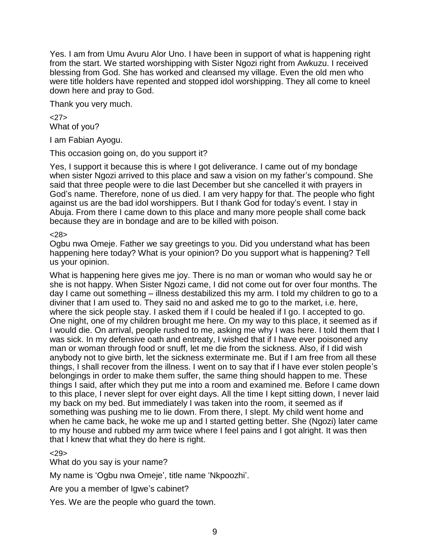Yes. I am from Umu Avuru Alor Uno. I have been in support of what is happening right from the start. We started worshipping with Sister Ngozi right from Awkuzu. I received blessing from God. She has worked and cleansed my village. Even the old men who were title holders have repented and stopped idol worshipping. They all come to kneel down here and pray to God.

Thank you very much.

 $27$ What of you?

I am Fabian Ayogu.

This occasion going on, do you support it?

Yes, I support it because this is where I got deliverance. I came out of my bondage when sister Ngozi arrived to this place and saw a vision on my father's compound. She said that three people were to die last December but she cancelled it with prayers in God's name. Therefore, none of us died. I am very happy for that. The people who fight against us are the bad idol worshippers. But I thank God for today's event. I stay in Abuja. From there I came down to this place and many more people shall come back because they are in bondage and are to be killed with poison.

#### $28$

Ogbu nwa Omeje. Father we say greetings to you. Did you understand what has been happening here today? What is your opinion? Do you support what is happening? Tell us your opinion.

What is happening here gives me joy. There is no man or woman who would say he or she is not happy. When Sister Ngozi came, I did not come out for over four months. The day I came out something – illness destabilized this my arm. I told my children to go to a diviner that I am used to. They said no and asked me to go to the market, i.e. here, where the sick people stay. I asked them if I could be healed if I go. I accepted to go. One night, one of my children brought me here. On my way to this place, it seemed as if I would die. On arrival, people rushed to me, asking me why I was here. I told them that I was sick. In my defensive oath and entreaty, I wished that if I have ever poisoned any man or woman through food or snuff, let me die from the sickness. Also, if I did wish anybody not to give birth, let the sickness exterminate me. But if I am free from all these things, I shall recover from the illness. I went on to say that if I have ever stolen people's belongings in order to make them suffer, the same thing should happen to me. These things I said, after which they put me into a room and examined me. Before I came down to this place, I never slept for over eight days. All the time I kept sitting down, I never laid my back on my bed. But immediately I was taken into the room, it seemed as if something was pushing me to lie down. From there, I sIept. My child went home and when he came back, he woke me up and I started getting better. She (Ngozi) later came to my house and rubbed my arm twice where I feel pains and I got alright. It was then that I knew that what they do here is right.

 $29$ 

What do you say is your name?

My name is 'Ogbu nwa Omeje', title name 'Nkpoozhi'.

Are you a member of Igwe's cabinet?

Yes. We are the people who guard the town.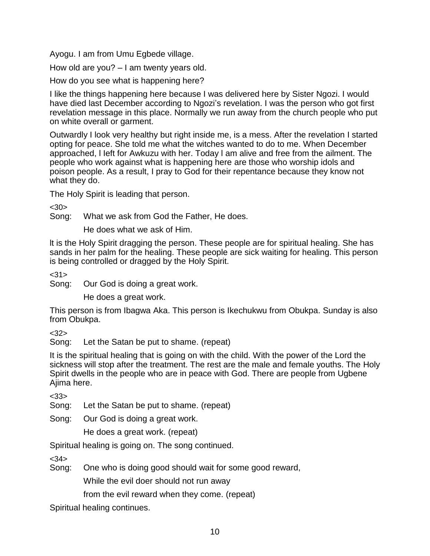Ayogu. I am from Umu Egbede village.

How old are you? – I am twenty years old.

How do you see what is happening here?

I like the things happening here because I was delivered here by Sister Ngozi. I would have died last December according to Ngozi's revelation. I was the person who got first revelation message in this place. Normally we run away from the church people who put on white overall or garment.

Outwardly I look very healthy but right inside me, is a mess. After the revelation I started opting for peace. She told me what the witches wanted to do to me. When December approached, l Ieft for Awkuzu with her. Today l am alive and free from the ailment. The people who work against what is happening here are those who worship idols and poison people. As a result, I pray to God for their repentance because they know not what they do.

The Holy Spirit is leading that person.

 $<30>$ 

Song: What we ask from God the Father, He does.

He does what we ask of Him.

lt is the Holy Spirit dragging the person. These people are for spiritual healing. She has sands in her palm for the healing. These people are sick waiting for healing. This person is being controlled or dragged by the Holy Spirit.

 $<31>$ 

Song: Our God is doing a great work.

He does a great work.

This person is from Ibagwa Aka. This person is Ikechukwu from Obukpa. Sunday is also from Obukpa.

 $<32>$ 

Song: Let the Satan be put to shame. (repeat)

It is the spiritual healing that is going on with the child. With the power of the Lord the sickness will stop after the treatment. The rest are the male and female youths. The Holy Spirit dwells in the people who are in peace with God. There are people from Ugbene Ajima here.

<33>

Song: Let the Satan be put to shame. (repeat)

Song: Our God is doing a great work.

He does a great work. (repeat)

Spiritual healing is going on. The song continued.

 $<34>$ 

Song: One who is doing good should wait for some good reward,

While the evil doer should not run away

from the evil reward when they come. (repeat)

Spiritual healing continues.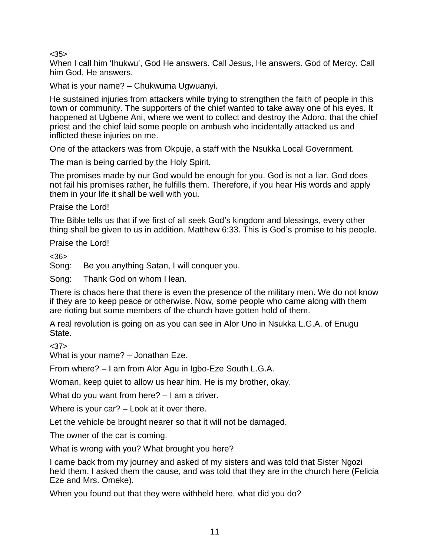# $<35>$

When I call him 'Ihukwu', God He answers. Call Jesus, He answers. God of Mercy. Call him God, He answers.

What is your name? – Chukwuma Ugwuanyi.

He sustained injuries from attackers while trying to strengthen the faith of people in this town or community. The supporters of the chief wanted to take away one of his eyes. It happened at Ugbene Ani, where we went to collect and destroy the Adoro, that the chief priest and the chief laid some people on ambush who incidentally attacked us and inflicted these injuries on me.

One of the attackers was from Okpuje, a staff with the Nsukka Local Government.

The man is being carried by the Holy Spirit.

The promises made by our God would be enough for you. God is not a liar. God does not fail his promises rather, he fulfills them. Therefore, if you hear His words and apply them in your life it shall be well with you.

Praise the Lord!

The Bible tells us that if we first of all seek God's kingdom and blessings, every other thing shall be given to us in addition. Matthew 6:33. This is God's promise to his people.

Praise the Lord!

<36>

Song: Be you anything Satan, I will conquer you.

Song: Thank God on whom I lean.

There is chaos here that there is even the presence of the military men. We do not know if they are to keep peace or otherwise. Now, some people who came along with them are rioting but some members of the church have gotten hold of them.

A real revolution is going on as you can see in Alor Uno in Nsukka L.G.A. of Enugu State.

<37>

What is your name? – Jonathan Eze.

From where? – I am from Alor Agu in Igbo-Eze South L.G.A.

Woman, keep quiet to allow us hear him. He is my brother, okay.

What do you want from here? – I am a driver.

Where is your car? – Look at it over there.

Let the vehicle be brought nearer so that it will not be damaged.

The owner of the car is coming.

What is wrong with you? What brought you here?

I came back from my journey and asked of my sisters and was told that Sister Ngozi held them. I asked them the cause, and was told that they are in the church here (Felicia Eze and Mrs. Omeke).

When you found out that they were withheld here, what did you do?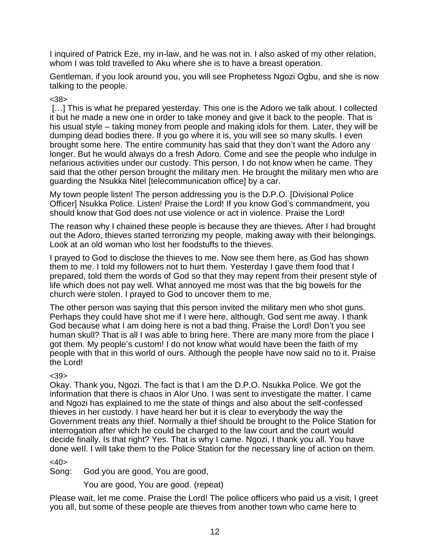I inquired of Patrick Eze, my in-law, and he was not in. I also asked of my other relation, whom I was told travelled to Aku where she is to have a breast operation.

Gentleman, if you look around you, you will see Prophetess Ngozi Ogbu, and she is now talking to the people.

#### <38>

[...] This is what he prepared yesterday. This one is the Adoro we talk about. I collected it but he made a new one in order to take money and give it back to the people. That is his usual style – taking money from people and making idols for them. Later, they will be dumping dead bodies there. If you go where it is, you will see so many skulls. I even brought some here. The entire community has said that they don't want the Adoro any longer. But he would always do a fresh Adoro. Come and see the people who indulge in nefarious activities under our custody. This person, I do not know when he came. They said that the other person brought the military men. He brought the military men who are guarding the Nsukka Nitel [telecommunication office] by a car.

My town people listen! The person addressing you is the D.P.O. [Divisional Police Officer] Nsukka Police. Listen! Praise the Lord! If you know God's commandment, you should know that God does not use violence or act in violence. Praise the Lord!

The reason why I chained these people is because they are thieves. After I had brought out the Adoro, thieves started terrorizing my people, making away with their belongings. Look at an old woman who lost her foodstuffs to the thieves.

I prayed to God to disclose the thieves to me. Now see them here, as God has shown them to me. I told my followers not to hurt them. Yesterday I gave them food that I prepared, told them the words of God so that they may repent from their present style of life which does not pay well. What annoyed me most was that the big bowels for the church were stolen. I prayed to God to uncover them to me.

The other person was saying that this person invited the military men who shot guns. Perhaps they could have shot me if I were here, although, God sent me away. I thank God because what I am doing here is not a bad thing. Praise the Lord! Don't you see human skull? That is all I was able to bring here. There are many more from the place I got them. My people's custom! I do not know what would have been the faith of my people with that in this world of ours. Although the people have now said no to it. Praise the Lord!

 $<39>$ 

Okay. Thank you, Ngozi. The fact is that I am the D.P.O. Nsukka Police. We got the information that there is chaos in Alor Uno. I was sent to investigate the matter. I came and Ngozi has explained to me the state of things and also about the self-confessed thieves in her custody. I have heard her but it is clear to everybody the way the Government treats any thief. Normally a thief should be brought to the Police Station for interrogation after which he could be charged to the law court and the court would decide finally. Is that right? Yes. That is why I came. Ngozi, I thank you all. You have done weIl. I will take them to the Police Station for the necessary line of action on them.

 $<$ 40 $>$ 

Song: God you are good, You are good,

You are good, You are good. (repeat)

Please wait, let me come. Praise the Lord! The police officers who paid us a visit, I greet you all, but some of these people are thieves from another town who came here to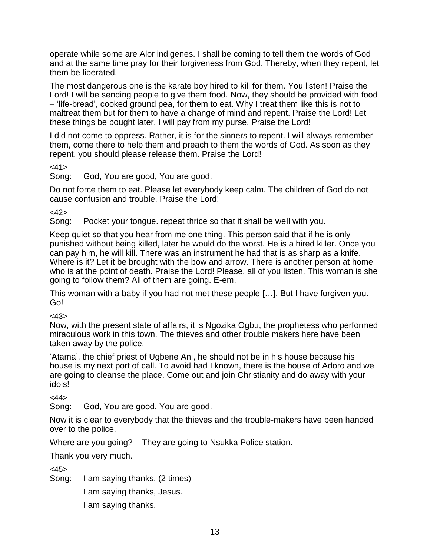operate while some are Alor indigenes. I shall be coming to tell them the words of God and at the same time pray for their forgiveness from God. Thereby, when they repent, let them be liberated.

The most dangerous one is the karate boy hired to kill for them. You listen! Praise the Lord! I will be sending people to give them food. Now, they should be provided with food – 'life-bread', cooked ground pea, for them to eat. Why I treat them like this is not to maltreat them but for them to have a change of mind and repent. Praise the Lord! Let these things be bought later, I will pay from my purse. Praise the Lord!

I did not come to oppress. Rather, it is for the sinners to repent. I will always remember them, come there to help them and preach to them the words of God. As soon as they repent, you should please release them. Praise the Lord!

 $<41>$ 

Song: God, You are good, You are good.

Do not force them to eat. Please let everybody keep calm. The children of God do not cause confusion and trouble. Praise the Lord!

 $-42$ 

Song: Pocket your tongue. repeat thrice so that it shall be weIl with you.

Keep quiet so that you hear from me one thing. This person said that if he is only punished without being killed, later he would do the worst. He is a hired killer. Once you can pay him, he will kill. There was an instrument he had that is as sharp as a knife. Where is it? Let it be brought with the bow and arrow. There is another person at home who is at the point of death. Praise the Lord! Please, all of you listen. This woman is she going to follow them? All of them are going. E-em.

This woman with a baby if you had not met these people […]. But I have forgiven you. Go!

 $<43$ 

Now, with the present state of affairs, it is Ngozika Ogbu, the prophetess who performed miraculous work in this town. The thieves and other trouble makers here have been taken away by the police.

'Atama', the chief priest of Ugbene Ani, he should not be in his house because his house is my next port of call. To avoid had I known, there is the house of Adoro and we are going to cleanse the place. Come out and join Christianity and do away with your idols!

 $<44$ 

Song: God, You are good, You are good.

Now it is clear to everybody that the thieves and the trouble-makers have been handed over to the police.

Where are you going? – They are going to Nsukka Police station.

Thank you very much.

 $<45>$ 

Song: I am saying thanks. (2 times)

I am saying thanks, Jesus.

I am saying thanks.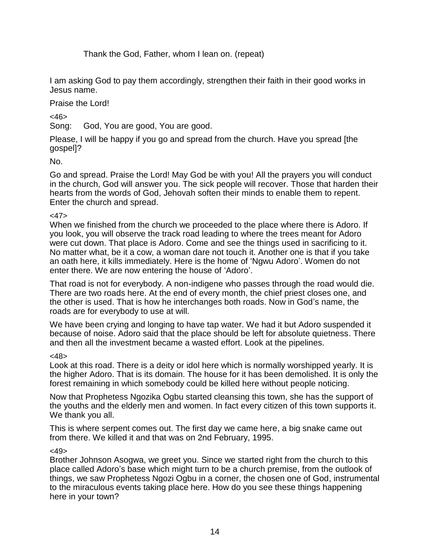Thank the God, Father, whom I lean on. (repeat)

I am asking God to pay them accordingly, strengthen their faith in their good works in Jesus name.

Praise the Lord!

<46>

Song: God, You are good, You are good.

Please, I will be happy if you go and spread from the church. Have you spread [the gospel]?

No.

Go and spread. Praise the Lord! May God be with you! All the prayers you will conduct in the church, God will answer you. The sick people will recover. Those that harden their hearts from the words of God, Jehovah soften their minds to enable them to repent. Enter the church and spread.

## $<47>$

When we finished from the church we proceeded to the place where there is Adoro. If you look, you will observe the track road leading to where the trees meant for Adoro were cut down. That place is Adoro. Come and see the things used in sacrificing to it. No matter what, be it a cow, a woman dare not touch it. Another one is that if you take an oath here, it kills immediately. Here is the home of 'Ngwu Adoro'. Women do not enter there. We are now entering the house of 'Adoro'.

That road is not for everybody. A non-indigene who passes through the road would die. There are two roads here. At the end of every month, the chief priest closes one, and the other is used. That is how he interchanges both roads. Now in God's name, the roads are for everybody to use at will.

We have been crying and longing to have tap water. We had it but Adoro suspended it because of noise. Adoro said that the place should be left for absolute quietness. There and then all the investment became a wasted effort. Look at the pipelines.

# <48>

Look at this road. There is a deity or idol here which is normally worshipped yearly. It is the higher Adoro. That is its domain. The house for it has been demolished. It is only the forest remaining in which somebody could be killed here without people noticing.

Now that Prophetess Ngozika Ogbu started cleansing this town, she has the support of the youths and the elderly men and women. In fact every citizen of this town supports it. We thank you all.

This is where serpent comes out. The first day we came here, a big snake came out from there. We killed it and that was on 2nd February, 1995.

# $<49>$

Brother Johnson Asogwa, we greet you. Since we started right from the church to this place called Adoro's base which might turn to be a church premise, from the outlook of things, we saw Prophetess Ngozi Ogbu in a corner, the chosen one of God, instrumental to the miraculous events taking place here. How do you see these things happening here in your town?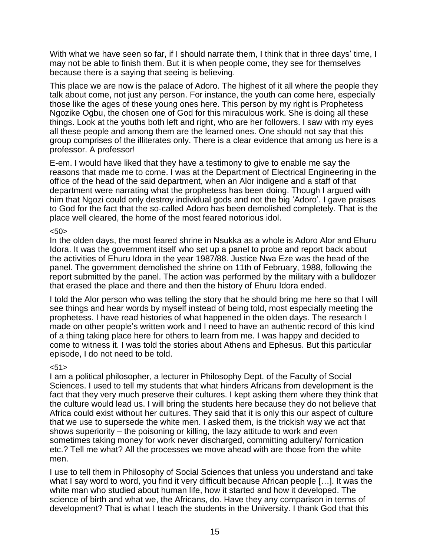With what we have seen so far, if I should narrate them, I think that in three days' time, I may not be able to finish them. But it is when people come, they see for themselves because there is a saying that seeing is believing.

This place we are now is the palace of Adoro. The highest of it all where the people they talk about come, not just any person. For instance, the youth can come here, especially those like the ages of these young ones here. This person by my right is Prophetess Ngozike Ogbu, the chosen one of God for this miraculous work. She is doing all these things. Look at the youths both left and right, who are her followers. I saw with my eyes all these people and among them are the learned ones. One should not say that this group comprises of the illiterates only. There is a clear evidence that among us here is a professor. A professor!

E-em. I would have liked that they have a testimony to give to enable me say the reasons that made me to come. I was at the Department of Electrical Engineering in the office of the head of the said department, when an Alor indigene and a staff of that department were narrating what the prophetess has been doing. Though I argued with him that Ngozi could only destroy individual gods and not the big 'Adoro'. I gave praises to God for the fact that the so-called Adoro has been demolished completely. That is the place well cleared, the home of the most feared notorious idol.

#### $50<sub>2</sub>$

In the olden days, the most feared shrine in Nsukka as a whole is Adoro Alor and Ehuru Idora. It was the government itself who set up a panel to probe and report back about the activities of Ehuru Idora in the year 1987/88. Justice Nwa Eze was the head of the panel. The government demolished the shrine on 11th of February, 1988, following the report submitted by the panel. The action was performed by the military with a bulldozer that erased the place and there and then the history of Ehuru Idora ended.

I told the Alor person who was telling the story that he should bring me here so that I will see things and hear words by myself instead of being told, most especially meeting the prophetess. I have read histories of what happened in the olden days. The research I made on other people's written work and I need to have an authentic record of this kind of a thing taking place here for others to learn from me. I was happy and decided to come to witness it. I was told the stories about Athens and Ephesus. But this particular episode, I do not need to be told.

#### $51$

I am a political philosopher, a lecturer in Philosophy Dept. of the Faculty of Social Sciences. I used to tell my students that what hinders Africans from development is the fact that they very much preserve their cultures. I kept asking them where they think that the culture would lead us. I will bring the students here because they do not believe that Africa could exist without her cultures. They said that it is only this our aspect of culture that we use to supersede the white men. I asked them, is the trickish way we act that shows superiority – the poisoning or killing, the lazy attitude to work and even sometimes taking money for work never discharged, committing adultery/ fornication etc.? Tell me what? All the processes we move ahead with are those from the white men.

I use to tell them in Philosophy of Social Sciences that unless you understand and take what I say word to word, you find it very difficult because African people […]. It was the white man who studied about human life, how it started and how it developed. The science of birth and what we, the Africans, do. Have they any comparison in terms of development? That is what I teach the students in the University. I thank God that this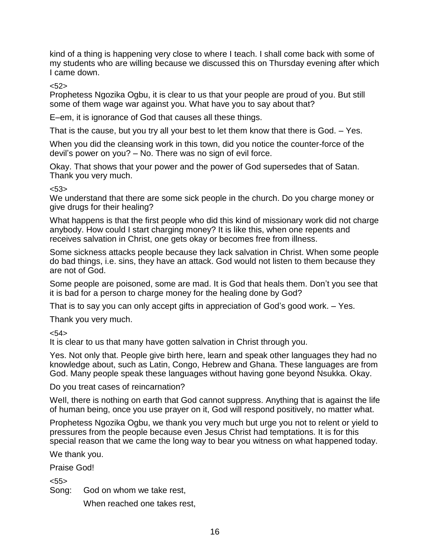kind of a thing is happening very close to where I teach. I shall come back with some of my students who are willing because we discussed this on Thursday evening after which I came down.

## $52>$

Prophetess Ngozika Ogbu, it is clear to us that your people are proud of you. But still some of them wage war against you. What have you to say about that?

E–em, it is ignorance of God that causes all these things.

That is the cause, but you try all your best to let them know that there is God. – Yes.

When you did the cleansing work in this town, did you notice the counter-force of the devil's power on you? – No. There was no sign of evil force.

Okay. That shows that your power and the power of God supersedes that of Satan. Thank you very much.

 $< 53>$ 

We understand that there are some sick people in the church. Do you charge money or give drugs for their healing?

What happens is that the first people who did this kind of missionary work did not charge anybody. How could I start charging money? It is like this, when one repents and receives salvation in Christ, one gets okay or becomes free from illness.

Some sickness attacks people because they lack salvation in Christ. When some people do bad things, i.e. sins, they have an attack. God would not listen to them because they are not of God.

Some people are poisoned, some are mad. It is God that heals them. Don't you see that it is bad for a person to charge money for the healing done by God?

That is to say you can only accept gifts in appreciation of God's good work. – Yes.

Thank you very much.

 $< 54$ 

It is clear to us that many have gotten salvation in Christ through you.

Yes. Not only that. People give birth here, learn and speak other languages they had no knowledge about, such as Latin, Congo, Hebrew and Ghana. These languages are from God. Many people speak these languages without having gone beyond Nsukka. Okay.

Do you treat cases of reincarnation?

WeIl, there is nothing on earth that God cannot suppress. Anything that is against the life of human being, once you use prayer on it, God will respond positively, no matter what.

Prophetess Ngozika Ogbu, we thank you very much but urge you not to relent or yield to pressures from the people because even Jesus Christ had temptations. It is for this special reason that we came the long way to bear you witness on what happened today.

We thank you.

Praise God!

 $555$ 

Song: God on whom we take rest,

When reached one takes rest,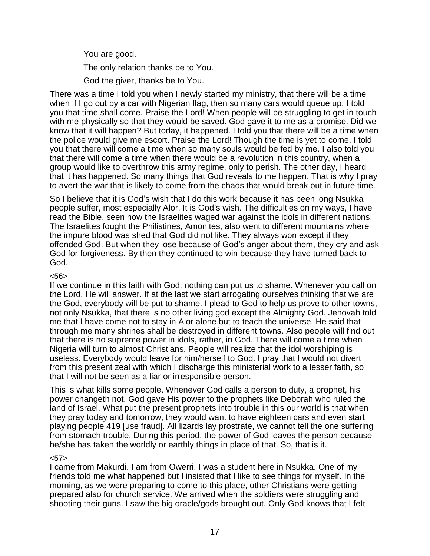You are good.

The only relation thanks be to You.

God the giver, thanks be to You.

There was a time I told you when I newly started my ministry, that there will be a time when if I go out by a car with Nigerian flag, then so many cars would queue up. I told you that time shall come. Praise the Lord! When people will be struggling to get in touch with me physically so that they would be saved. God gave it to me as a promise. Did we know that it will happen? But today, it happened. I told you that there will be a time when the police would give me escort. Praise the Lord! Though the time is yet to come. I told you that there will come a time when so many souls would be fed by me. I also told you that there will come a time when there would be a revolution in this country, when a group would like to overthrow this army regime, only to perish. The other day, I heard that it has happened. So many things that God reveals to me happen. That is why I pray to avert the war that is likely to come from the chaos that would break out in future time.

So I believe that it is God's wish that I do this work because it has been long Nsukka people suffer, most especially Alor. It is God's wish. The difficulties on my ways, I have read the Bible, seen how the Israelites waged war against the idols in different nations. The Israelites fought the Philistines, Amonites, also went to different mountains where the impure blood was shed that God did not like. They always won except if they offended God. But when they lose because of God's anger about them, they cry and ask God for forgiveness. By then they continued to win because they have turned back to God.

# <56>

If we continue in this faith with God, nothing can put us to shame. Whenever you call on the Lord, He will answer. If at the last we start arrogating ourselves thinking that we are the God, everybody will be put to shame. I plead to God to help us prove to other towns, not only Nsukka, that there is no other living god except the Almighty God. Jehovah told me that I have come not to stay in Alor alone but to teach the universe. He said that through me many shrines shall be destroyed in different towns. Also people will find out that there is no supreme power in idols, rather, in God. There will come a time when Nigeria will turn to almost Christians. People will realize that the idol worshiping is useless. Everybody would leave for him/herself to God. I pray that I would not divert from this present zeal with which I discharge this ministerial work to a lesser faith, so that I will not be seen as a liar or irresponsible person.

This is what kills some people. Whenever God calls a person to duty, a prophet, his power changeth not. God gave His power to the prophets like Deborah who ruled the land of Israel. What put the present prophets into trouble in this our world is that when they pray today and tomorrow, they would want to have eighteen cars and even start playing people 419 [use fraud]. All lizards lay prostrate, we cannot tell the one suffering from stomach trouble. During this period, the power of God leaves the person because he/she has taken the worldly or earthly things in place of that. So, that is it.

# <57>

I came from Makurdi. I am from Owerri. I was a student here in Nsukka. One of my friends told me what happened but I insisted that I like to see things for myself. In the morning, as we were preparing to come to this place, other Christians were getting prepared also for church service. We arrived when the soldiers were struggling and shooting their guns. I saw the big oracle/gods brought out. Only God knows that I felt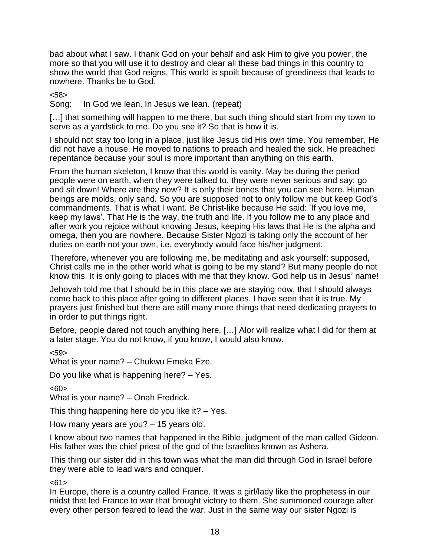bad about what I saw. I thank God on your behalf and ask Him to give you power, the more so that you will use it to destroy and clear all these bad things in this country to show the world that God reigns. This world is spoilt because of greediness that leads to nowhere. Thanks be to God.

<58>

Song: In God we lean. In Jesus we lean. (repeat)

[...] that something will happen to me there, but such thing should start from my town to serve as a yardstick to me. Do you see it? So that is how it is.

I should not stay too long in a place, just like Jesus did His own time. You remember, He did not have a house. He moved to nations to preach and healed the sick. He preached repentance because your soul is more important than anything on this earth.

From the human skeleton, I know that this world is vanity. May be during the period people were on earth, when they were talked to, they were never serious and say: go and sit down! Where are they now? It is only their bones that you can see here. Human beings are molds, only sand. So you are supposed not to only follow me but keep God's commandments. That is what I want. Be Christ-like because He said: 'If you love me, keep my laws'. That He is the way, the truth and life. If you follow me to any place and after work you rejoice without knowing Jesus, keeping His laws that He is the alpha and omega, then you are nowhere. Because Sister Ngozi is taking only the account of her duties on earth not your own, i.e. everybody would face his/her judgment.

Therefore, whenever you are following me, be meditating and ask yourself: supposed, Christ calls me in the other world what is going to be my stand? But many people do not know this. It is only going to places with me that they know. God help us in Jesus' name!

Jehovah told me that I should be in this place we are staying now, that I should always come back to this place after going to different places. I have seen that it is true. My prayers just finished but there are still many more things that need dedicating prayers to in order to put things right.

Before, people dared not touch anything here. […] Alor will realize what I did for them at a later stage. You do not know, if you know, I would also know.

 $< 59$ 

What is your name? – Chukwu Emeka Eze.

Do you like what is happening here? – Yes.

 $<sub>60</sub>$ </sub>

What is your name? – Onah Fredrick.

This thing happening here do you like it? – Yes.

How many years are you? – 15 years old.

I know about two names that happened in the Bible, judgment of the man called Gideon. His father was the chief priest of the god of the Israelites known as Ashera.

This thing our sister did in this town was what the man did through God in Israel before they were able to lead wars and conquer.

 $< 61$ 

In Europe, there is a country called France. It was a girl/lady like the prophetess in our midst that led France to war that brought victory to them. She summoned courage after every other person feared to lead the war. Just in the same way our sister Ngozi is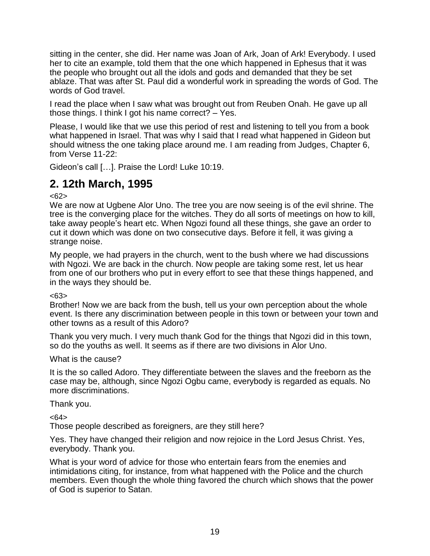sitting in the center, she did. Her name was Joan of Ark, Joan of Ark! Everybody. I used her to cite an example, told them that the one which happened in Ephesus that it was the people who brought out all the idols and gods and demanded that they be set ablaze. That was after St. Paul did a wonderful work in spreading the words of God. The words of God travel.

I read the place when I saw what was brought out from Reuben Onah. He gave up all those things. I think I got his name correct? – Yes.

Please, I would like that we use this period of rest and listening to tell you from a book what happened in Israel. That was why I said that I read what happened in Gideon but should witness the one taking place around me. I am reading from Judges, Chapter 6, from Verse 11-22:

Gideon's call […]. Praise the Lord! Luke 10:19.

# **2. 12th March, 1995**

 $< 62$ 

We are now at Ugbene Alor Uno. The tree you are now seeing is of the evil shrine. The tree is the converging place for the witches. They do all sorts of meetings on how to kill, take away people's heart etc. When Ngozi found all these things, she gave an order to cut it down which was done on two consecutive days. Before it fell, it was giving a strange noise.

My people, we had prayers in the church, went to the bush where we had discussions with Ngozi. We are back in the church. Now people are taking some rest, let us hear from one of our brothers who put in every effort to see that these things happened, and in the ways they should be.

# <63>

Brother! Now we are back from the bush, tell us your own perception about the whole event. Is there any discrimination between people in this town or between your town and other towns as a result of this Adoro?

Thank you very much. I very much thank God for the things that Ngozi did in this town, so do the youths as weIl. It seems as if there are two divisions in Alor Uno.

What is the cause?

It is the so called Adoro. They differentiate between the slaves and the freeborn as the case may be, although, since Ngozi Ogbu came, everybody is regarded as equals. No more discriminations.

Thank you.

 $< 64$ 

Those people described as foreigners, are they still here?

Yes. They have changed their religion and now rejoice in the Lord Jesus Christ. Yes, everybody. Thank you.

What is your word of advice for those who entertain fears from the enemies and intimidations citing, for instance, from what happened with the Police and the church members. Even though the whole thing favored the church which shows that the power of God is superior to Satan.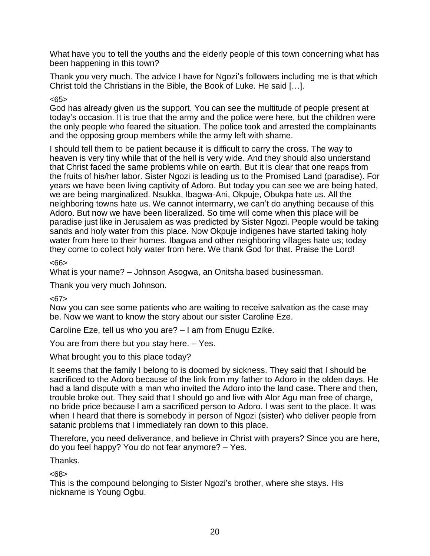What have you to tell the youths and the elderly people of this town concerning what has been happening in this town?

Thank you very much. The advice I have for Ngozi's followers including me is that which Christ told the Christians in the Bible, the Book of Luke. He said […].

#### $<65>$

God has already given us the support. You can see the multitude of people present at today's occasion. It is true that the army and the police were here, but the children were the only people who feared the situation. The police took and arrested the complainants and the opposing group members while the army left with shame.

I should tell them to be patient because it is difficult to carry the cross. The way to heaven is very tiny while that of the hell is very wide. And they should also understand that Christ faced the same problems while on earth. But it is clear that one reaps from the fruits of his/her labor. Sister Ngozi is leading us to the Promised Land (paradise). For years we have been living captivity of Adoro. But today you can see we are being hated, we are being marginalized. Nsukka, Ibagwa-Ani, Okpuje, Obukpa hate us. All the neighboring towns hate us. We cannot intermarry, we can't do anything because of this Adoro. But now we have been liberalized. So time will come when this place will be paradise just like in Jerusalem as was predicted by Sister Ngozi. People would be taking sands and holy water from this place. Now Okpuje indigenes have started taking holy water from here to their homes. Ibagwa and other neighboring villages hate us; today they come to collect holy water from here. We thank God for that. Praise the Lord!

## $<66$

What is your name? – Johnson Asogwa, an Onitsha based businessman.

Thank you very much Johnson.

<67>

Now you can see some patients who are waiting to receive salvation as the case may be. Now we want to know the story about our sister Caroline Eze.

Caroline Eze, tell us who you are? – I am from Enugu Ezike.

You are from there but you stay here. – Yes.

What brought you to this place today?

It seems that the family I belong to is doomed by sickness. They said that I should be sacrificed to the Adoro because of the link from my father to Adoro in the olden days. He had a land dispute with a man who invited the Adoro into the land case. There and then, trouble broke out. They said that I should go and live with Alor Agu man free of charge, no bride price because l am a sacrificed person to Adoro. I was sent to the place. It was when I heard that there is somebody in person of Ngozi (sister) who deliver people from satanic problems that I immediately ran down to this place.

Therefore, you need deliverance, and believe in Christ with prayers? Since you are here, do you feel happy? You do not fear anymore? – Yes.

Thanks.

<68>

This is the compound belonging to Sister Ngozi's brother, where she stays. His nickname is Young Ogbu.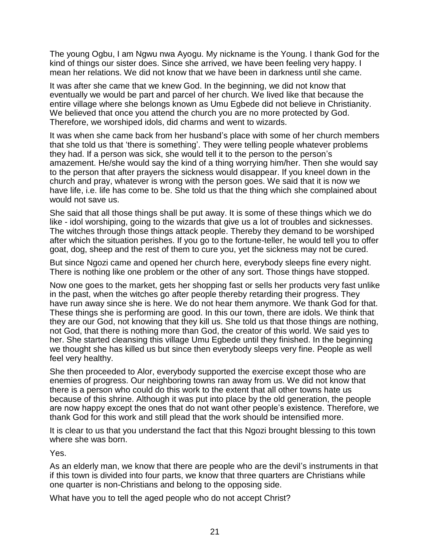The young Ogbu, I am Ngwu nwa Ayogu. My nickname is the Young. I thank God for the kind of things our sister does. Since she arrived, we have been feeling very happy. I mean her relations. We did not know that we have been in darkness until she came.

It was after she came that we knew God. In the beginning, we did not know that eventually we would be part and parcel of her church. We lived like that because the entire village where she belongs known as Umu Egbede did not believe in Christianity. We believed that once you attend the church you are no more protected by God. Therefore, we worshiped idols, did charms and went to wizards.

It was when she came back from her husband's place with some of her church members that she told us that 'there is something'. They were telling people whatever problems they had. If a person was sick, she would tell it to the person to the person's amazement. He/she would say the kind of a thing worrying him/her. Then she would say to the person that after prayers the sickness would disappear. If you kneel down in the church and pray, whatever is wrong with the person goes. We said that it is now we have life, i.e. life has come to be. She told us that the thing which she complained about would not save us.

She said that all those things shall be put away. It is some of these things which we do like - idol worshiping, going to the wizards that give us a lot of troubles and sicknesses. The witches through those things attack people. Thereby they demand to be worshiped after which the situation perishes. If you go to the fortune-teller, he would tell you to offer goat, dog, sheep and the rest of them to cure you, yet the sickness may not be cured.

But since Ngozi came and opened her church here, everybody sleeps fine every night. There is nothing like one problem or the other of any sort. Those things have stopped.

Now one goes to the market, gets her shopping fast or seIls her products very fast unlike in the past, when the witches go after people thereby retarding their progress. They have run away since she is here. We do not hear them anymore. We thank God for that. These things she is performing are good. In this our town, there are idols. We think that they are our God, not knowing that they kill us. She told us that those things are nothing, not God, that there is nothing more than God, the creator of this world. We said yes to her. She started cleansing this village Umu Egbede until they finished. In the beginning we thought she has killed us but since then everybody sleeps very fine. People as weIl feel very healthy.

She then proceeded to Alor, everybody supported the exercise except those who are enemies of progress. Our neighboring towns ran away from us. We did not know that there is a person who could do this work to the extent that all other towns hate us because of this shrine. Although it was put into place by the old generation, the people are now happy except the ones that do not want other people's existence. Therefore, we thank God for this work and still plead that the work should be intensified more.

It is clear to us that you understand the fact that this Ngozi brought blessing to this town where she was born.

Yes.

As an elderly man, we know that there are people who are the devil's instruments in that if this town is divided into four parts, we know that three quarters are Christians while one quarter is non-Christians and belong to the opposing side.

What have you to tell the aged people who do not accept Christ?